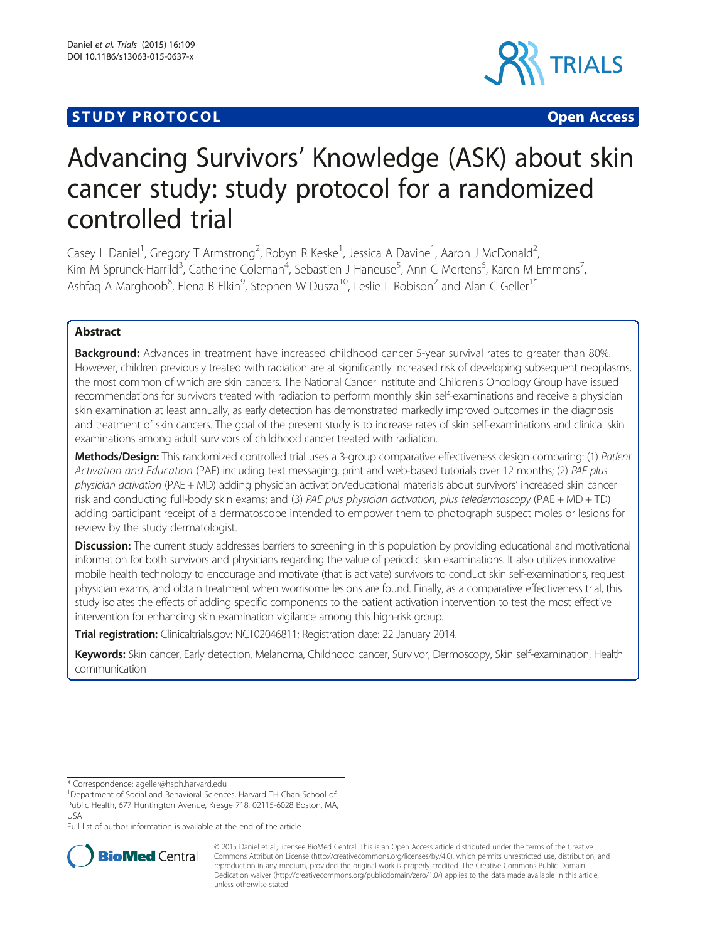## **STUDY PROTOCOL CONSUMING THE CONSUMING OPEN ACCESS**



# Advancing Survivors' Knowledge (ASK) about skin cancer study: study protocol for a randomized controlled trial

Casey L Daniel<sup>1</sup>, Gregory T Armstrong<sup>2</sup>, Robyn R Keske<sup>1</sup>, Jessica A Davine<sup>1</sup>, Aaron J McDonald<sup>2</sup> .<br>, Kim M Sprunck-Harrild<sup>3</sup>, Catherine Coleman<sup>4</sup>, Sebastien J Haneuse<sup>5</sup>, Ann C Mertens<sup>6</sup>, Karen M Emmons<sup>7</sup> , Ashfaq A Marghoob $^8$ , Elena B Elkin $^9$ , Stephen W Dusza<sup>10</sup>, Leslie L Robison $^2$  and Alan C Geller<sup>1\*</sup>

## Abstract

Background: Advances in treatment have increased childhood cancer 5-year survival rates to greater than 80%. However, children previously treated with radiation are at significantly increased risk of developing subsequent neoplasms, the most common of which are skin cancers. The National Cancer Institute and Children's Oncology Group have issued recommendations for survivors treated with radiation to perform monthly skin self-examinations and receive a physician skin examination at least annually, as early detection has demonstrated markedly improved outcomes in the diagnosis and treatment of skin cancers. The goal of the present study is to increase rates of skin self-examinations and clinical skin examinations among adult survivors of childhood cancer treated with radiation.

Methods/Design: This randomized controlled trial uses a 3-group comparative effectiveness design comparing: (1) Patient Activation and Education (PAE) including text messaging, print and web-based tutorials over 12 months; (2) PAE plus physician activation (PAE + MD) adding physician activation/educational materials about survivors' increased skin cancer risk and conducting full-body skin exams; and (3) PAE plus physician activation, plus teledermoscopy (PAE + MD + TD) adding participant receipt of a dermatoscope intended to empower them to photograph suspect moles or lesions for review by the study dermatologist.

Discussion: The current study addresses barriers to screening in this population by providing educational and motivational information for both survivors and physicians regarding the value of periodic skin examinations. It also utilizes innovative mobile health technology to encourage and motivate (that is activate) survivors to conduct skin self-examinations, request physician exams, and obtain treatment when worrisome lesions are found. Finally, as a comparative effectiveness trial, this study isolates the effects of adding specific components to the patient activation intervention to test the most effective intervention for enhancing skin examination vigilance among this high-risk group.

Trial registration: Clinicaltrials.gov: [NCT02046811;](https://www.clinicaltrials.gov/ct2/show/NCT02046811) Registration date: 22 January 2014.

Keywords: Skin cancer, Early detection, Melanoma, Childhood cancer, Survivor, Dermoscopy, Skin self-examination, Health communication

\* Correspondence: [ageller@hsph.harvard.edu](mailto:ageller@hsph.harvard.edu) <sup>1</sup>

<sup>1</sup>Department of Social and Behavioral Sciences, Harvard TH Chan School of Public Health, 677 Huntington Avenue, Kresge 718, 02115-6028 Boston, MA, USA

Full list of author information is available at the end of the article



© 2015 Daniel et al.; licensee BioMed Central. This is an Open Access article distributed under the terms of the Creative Commons Attribution License [\(http://creativecommons.org/licenses/by/4.0\)](http://creativecommons.org/licenses/by/4.0), which permits unrestricted use, distribution, and reproduction in any medium, provided the original work is properly credited. The Creative Commons Public Domain Dedication waiver [\(http://creativecommons.org/publicdomain/zero/1.0/](http://creativecommons.org/publicdomain/zero/1.0/)) applies to the data made available in this article, unless otherwise stated.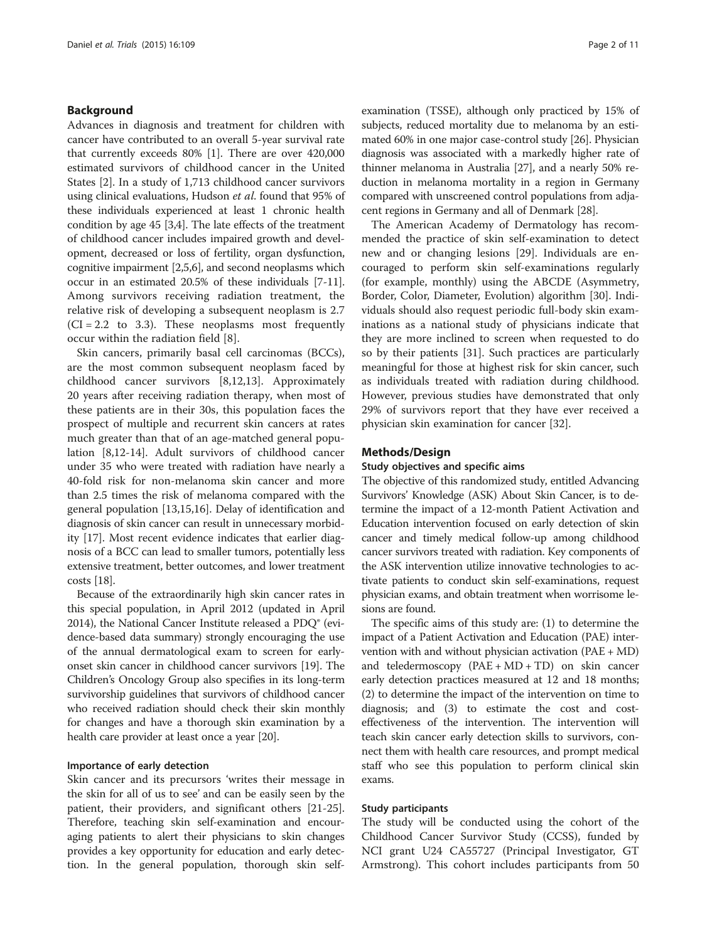## Background

Advances in diagnosis and treatment for children with cancer have contributed to an overall 5-year survival rate that currently exceeds 80% [[1](#page-9-0)]. There are over 420,000 estimated survivors of childhood cancer in the United States [[2\]](#page-9-0). In a study of 1,713 childhood cancer survivors using clinical evaluations, Hudson et al. found that 95% of these individuals experienced at least 1 chronic health condition by age 45 [[3,4](#page-9-0)]. The late effects of the treatment of childhood cancer includes impaired growth and development, decreased or loss of fertility, organ dysfunction, cognitive impairment [[2,5](#page-9-0),[6](#page-9-0)], and second neoplasms which occur in an estimated 20.5% of these individuals [\[7](#page-9-0)-[11](#page-9-0)]. Among survivors receiving radiation treatment, the relative risk of developing a subsequent neoplasm is 2.7  $(CI = 2.2$  to 3.3). These neoplasms most frequently occur within the radiation field [\[8](#page-9-0)].

Skin cancers, primarily basal cell carcinomas (BCCs), are the most common subsequent neoplasm faced by childhood cancer survivors [[8,12,13\]](#page-9-0). Approximately 20 years after receiving radiation therapy, when most of these patients are in their 30s, this population faces the prospect of multiple and recurrent skin cancers at rates much greater than that of an age-matched general population [\[8,12-14](#page-9-0)]. Adult survivors of childhood cancer under 35 who were treated with radiation have nearly a 40-fold risk for non-melanoma skin cancer and more than 2.5 times the risk of melanoma compared with the general population [[13](#page-9-0),[15](#page-9-0),[16](#page-9-0)]. Delay of identification and diagnosis of skin cancer can result in unnecessary morbidity [\[17\]](#page-9-0). Most recent evidence indicates that earlier diagnosis of a BCC can lead to smaller tumors, potentially less extensive treatment, better outcomes, and lower treatment costs [\[18\]](#page-9-0).

Because of the extraordinarily high skin cancer rates in this special population, in April 2012 (updated in April 2014), the National Cancer Institute released a  $PDQ^{\circ}$  (evidence-based data summary) strongly encouraging the use of the annual dermatological exam to screen for earlyonset skin cancer in childhood cancer survivors [[19](#page-9-0)]. The Children's Oncology Group also specifies in its long-term survivorship guidelines that survivors of childhood cancer who received radiation should check their skin monthly for changes and have a thorough skin examination by a health care provider at least once a year [\[20](#page-9-0)].

## Importance of early detection

Skin cancer and its precursors 'writes their message in the skin for all of us to see' and can be easily seen by the patient, their providers, and significant others [\[21-25](#page-9-0)]. Therefore, teaching skin self-examination and encouraging patients to alert their physicians to skin changes provides a key opportunity for education and early detection. In the general population, thorough skin selfexamination (TSSE), although only practiced by 15% of subjects, reduced mortality due to melanoma by an estimated 60% in one major case-control study [[26](#page-9-0)]. Physician diagnosis was associated with a markedly higher rate of thinner melanoma in Australia [\[27\]](#page-9-0), and a nearly 50% reduction in melanoma mortality in a region in Germany compared with unscreened control populations from adjacent regions in Germany and all of Denmark [\[28\]](#page-9-0).

The American Academy of Dermatology has recommended the practice of skin self-examination to detect new and or changing lesions [[29\]](#page-9-0). Individuals are encouraged to perform skin self-examinations regularly (for example, monthly) using the ABCDE (Asymmetry, Border, Color, Diameter, Evolution) algorithm [\[30\]](#page-10-0). Individuals should also request periodic full-body skin examinations as a national study of physicians indicate that they are more inclined to screen when requested to do so by their patients [\[31\]](#page-10-0). Such practices are particularly meaningful for those at highest risk for skin cancer, such as individuals treated with radiation during childhood. However, previous studies have demonstrated that only 29% of survivors report that they have ever received a physician skin examination for cancer [\[32\]](#page-10-0).

## Methods/Design

#### Study objectives and specific aims

The objective of this randomized study, entitled Advancing Survivors' Knowledge (ASK) About Skin Cancer, is to determine the impact of a 12-month Patient Activation and Education intervention focused on early detection of skin cancer and timely medical follow-up among childhood cancer survivors treated with radiation. Key components of the ASK intervention utilize innovative technologies to activate patients to conduct skin self-examinations, request physician exams, and obtain treatment when worrisome lesions are found.

The specific aims of this study are: (1) to determine the impact of a Patient Activation and Education (PAE) intervention with and without physician activation (PAE + MD) and teledermoscopy  $(PAE + MD + TD)$  on skin cancer early detection practices measured at 12 and 18 months; (2) to determine the impact of the intervention on time to diagnosis; and (3) to estimate the cost and costeffectiveness of the intervention. The intervention will teach skin cancer early detection skills to survivors, connect them with health care resources, and prompt medical staff who see this population to perform clinical skin exams.

#### Study participants

The study will be conducted using the cohort of the Childhood Cancer Survivor Study (CCSS), funded by NCI grant U24 CA55727 (Principal Investigator, GT Armstrong). This cohort includes participants from 50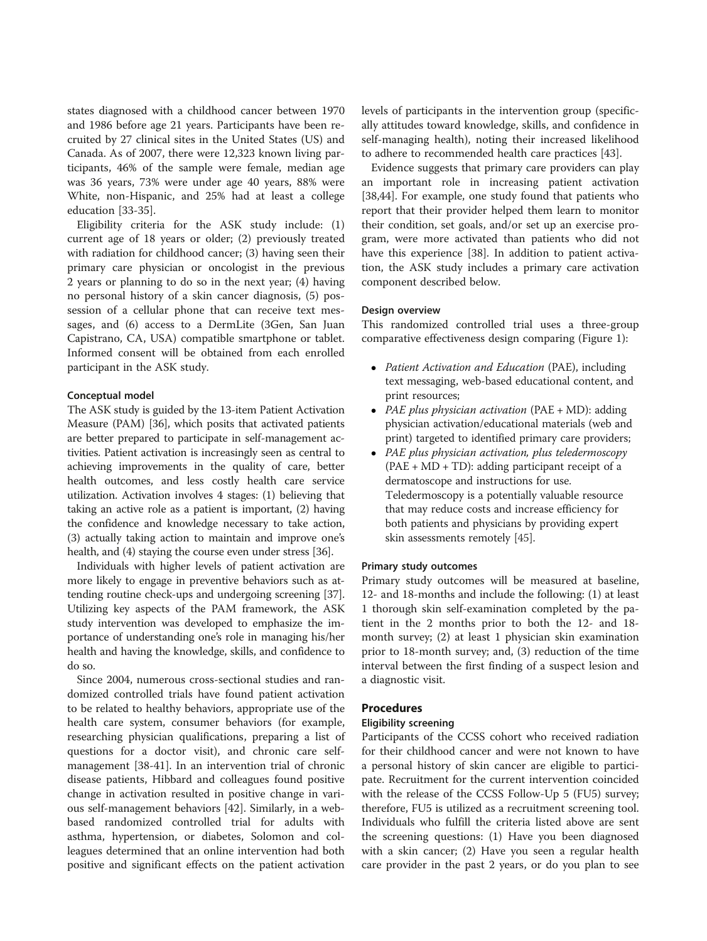states diagnosed with a childhood cancer between 1970 and 1986 before age 21 years. Participants have been recruited by 27 clinical sites in the United States (US) and Canada. As of 2007, there were 12,323 known living participants, 46% of the sample were female, median age was 36 years, 73% were under age 40 years, 88% were White, non-Hispanic, and 25% had at least a college education [[33-35\]](#page-10-0).

Eligibility criteria for the ASK study include: (1) current age of 18 years or older; (2) previously treated with radiation for childhood cancer; (3) having seen their primary care physician or oncologist in the previous 2 years or planning to do so in the next year; (4) having no personal history of a skin cancer diagnosis, (5) possession of a cellular phone that can receive text messages, and (6) access to a DermLite (3Gen, San Juan Capistrano, CA, USA) compatible smartphone or tablet. Informed consent will be obtained from each enrolled participant in the ASK study.

## Conceptual model

The ASK study is guided by the 13-item Patient Activation Measure (PAM) [\[36](#page-10-0)], which posits that activated patients are better prepared to participate in self-management activities. Patient activation is increasingly seen as central to achieving improvements in the quality of care, better health outcomes, and less costly health care service utilization. Activation involves 4 stages: (1) believing that taking an active role as a patient is important, (2) having the confidence and knowledge necessary to take action, (3) actually taking action to maintain and improve one's health, and (4) staying the course even under stress [\[36\]](#page-10-0).

Individuals with higher levels of patient activation are more likely to engage in preventive behaviors such as attending routine check-ups and undergoing screening [[37](#page-10-0)]. Utilizing key aspects of the PAM framework, the ASK study intervention was developed to emphasize the importance of understanding one's role in managing his/her health and having the knowledge, skills, and confidence to do so.

Since 2004, numerous cross-sectional studies and randomized controlled trials have found patient activation to be related to healthy behaviors, appropriate use of the health care system, consumer behaviors (for example, researching physician qualifications, preparing a list of questions for a doctor visit), and chronic care selfmanagement [\[38](#page-10-0)-[41](#page-10-0)]. In an intervention trial of chronic disease patients, Hibbard and colleagues found positive change in activation resulted in positive change in various self-management behaviors [\[42](#page-10-0)]. Similarly, in a webbased randomized controlled trial for adults with asthma, hypertension, or diabetes, Solomon and colleagues determined that an online intervention had both positive and significant effects on the patient activation levels of participants in the intervention group (specifically attitudes toward knowledge, skills, and confidence in self-managing health), noting their increased likelihood to adhere to recommended health care practices [\[43\]](#page-10-0).

Evidence suggests that primary care providers can play an important role in increasing patient activation [[38,44\]](#page-10-0). For example, one study found that patients who report that their provider helped them learn to monitor their condition, set goals, and/or set up an exercise program, were more activated than patients who did not have this experience [\[38\]](#page-10-0). In addition to patient activation, the ASK study includes a primary care activation component described below.

#### Design overview

This randomized controlled trial uses a three-group comparative effectiveness design comparing (Figure [1](#page-3-0)):

- Patient Activation and Education (PAE), including text messaging, web-based educational content, and print resources;
- PAE plus physician activation  $(PAE + MD)$ : adding physician activation/educational materials (web and print) targeted to identified primary care providers;
- PAE plus physician activation, plus teledermoscopy  $(PAE + MD + TD)$ : adding participant receipt of a dermatoscope and instructions for use. Teledermoscopy is a potentially valuable resource that may reduce costs and increase efficiency for both patients and physicians by providing expert skin assessments remotely [\[45\]](#page-10-0).

## Primary study outcomes

Primary study outcomes will be measured at baseline, 12- and 18-months and include the following: (1) at least 1 thorough skin self-examination completed by the patient in the 2 months prior to both the 12- and 18 month survey; (2) at least 1 physician skin examination prior to 18-month survey; and, (3) reduction of the time interval between the first finding of a suspect lesion and a diagnostic visit.

## Procedures

#### Eligibility screening

Participants of the CCSS cohort who received radiation for their childhood cancer and were not known to have a personal history of skin cancer are eligible to participate. Recruitment for the current intervention coincided with the release of the CCSS Follow-Up 5 (FU5) survey; therefore, FU5 is utilized as a recruitment screening tool. Individuals who fulfill the criteria listed above are sent the screening questions: (1) Have you been diagnosed with a skin cancer; (2) Have you seen a regular health care provider in the past 2 years, or do you plan to see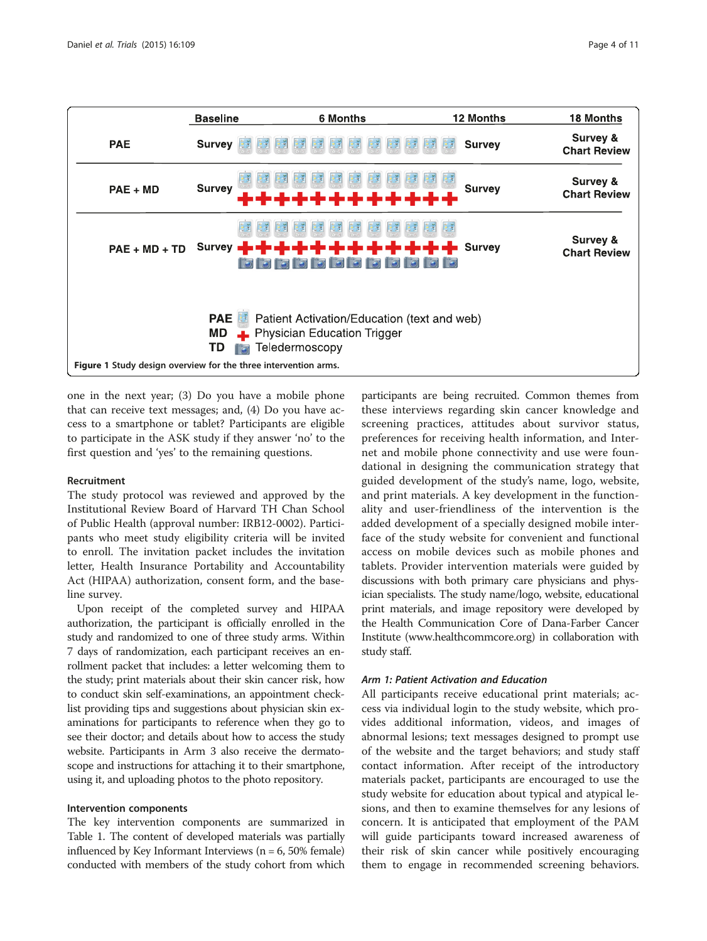<span id="page-3-0"></span>

one in the next year; (3) Do you have a mobile phone that can receive text messages; and, (4) Do you have access to a smartphone or tablet? Participants are eligible to participate in the ASK study if they answer 'no' to the first question and 'yes' to the remaining questions.

#### Recruitment

The study protocol was reviewed and approved by the Institutional Review Board of Harvard TH Chan School of Public Health (approval number: IRB12-0002). Participants who meet study eligibility criteria will be invited to enroll. The invitation packet includes the invitation letter, Health Insurance Portability and Accountability Act (HIPAA) authorization, consent form, and the baseline survey.

Upon receipt of the completed survey and HIPAA authorization, the participant is officially enrolled in the study and randomized to one of three study arms. Within 7 days of randomization, each participant receives an enrollment packet that includes: a letter welcoming them to the study; print materials about their skin cancer risk, how to conduct skin self-examinations, an appointment checklist providing tips and suggestions about physician skin examinations for participants to reference when they go to see their doctor; and details about how to access the study website. Participants in Arm 3 also receive the dermatoscope and instructions for attaching it to their smartphone, using it, and uploading photos to the photo repository.

#### Intervention components

The key intervention components are summarized in Table [1.](#page-4-0) The content of developed materials was partially influenced by Key Informant Interviews ( $n = 6$ , 50% female) conducted with members of the study cohort from which

participants are being recruited. Common themes from these interviews regarding skin cancer knowledge and screening practices, attitudes about survivor status, preferences for receiving health information, and Internet and mobile phone connectivity and use were foundational in designing the communication strategy that guided development of the study's name, logo, website, and print materials. A key development in the functionality and user-friendliness of the intervention is the added development of a specially designed mobile interface of the study website for convenient and functional access on mobile devices such as mobile phones and tablets. Provider intervention materials were guided by discussions with both primary care physicians and physician specialists. The study name/logo, website, educational print materials, and image repository were developed by the Health Communication Core of Dana-Farber Cancer Institute [\(www.healthcommcore.org\)](http://www.healthcommcore.org/) in collaboration with study staff.

## Arm 1: Patient Activation and Education

All participants receive educational print materials; access via individual login to the study website, which provides additional information, videos, and images of abnormal lesions; text messages designed to prompt use of the website and the target behaviors; and study staff contact information. After receipt of the introductory materials packet, participants are encouraged to use the study website for education about typical and atypical lesions, and then to examine themselves for any lesions of concern. It is anticipated that employment of the PAM will guide participants toward increased awareness of their risk of skin cancer while positively encouraging them to engage in recommended screening behaviors.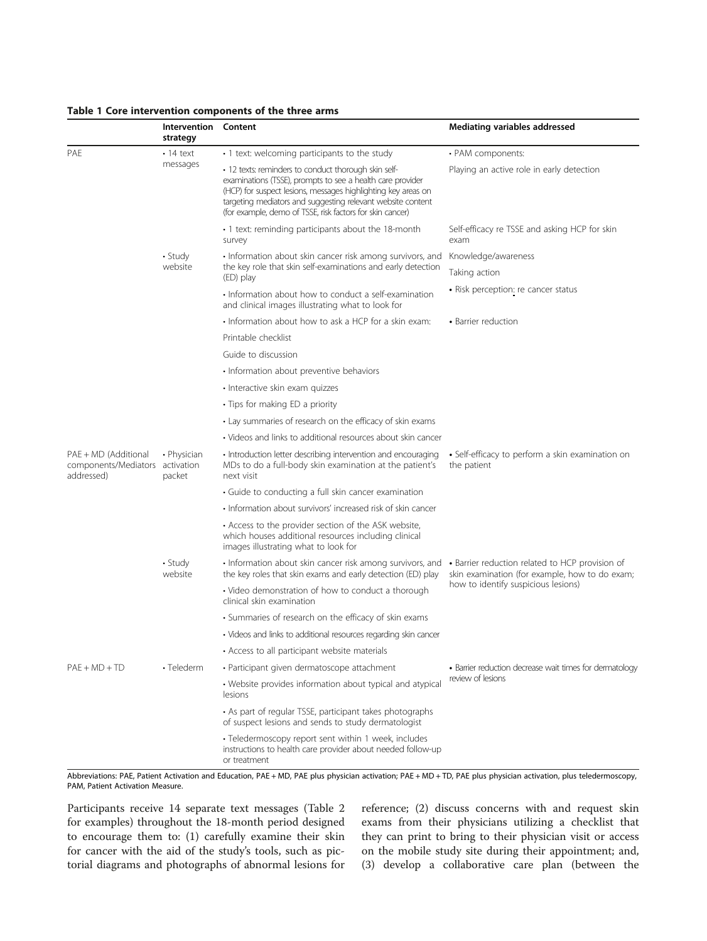## <span id="page-4-0"></span>Table 1 Core intervention components of the three arms

|                                                                       | Intervention Content<br>strategy |                                                                                                                                                                                                                                                                                                                 | Mediating variables addressed                                                                                                            |
|-----------------------------------------------------------------------|----------------------------------|-----------------------------------------------------------------------------------------------------------------------------------------------------------------------------------------------------------------------------------------------------------------------------------------------------------------|------------------------------------------------------------------------------------------------------------------------------------------|
| <b>PAE</b>                                                            | $\cdot$ 14 text<br>messages      | • 1 text: welcoming participants to the study                                                                                                                                                                                                                                                                   | • PAM components:                                                                                                                        |
|                                                                       |                                  | • 12 texts: reminders to conduct thorough skin self-<br>examinations (TSSE), prompts to see a health care provider<br>(HCP) for suspect lesions, messages highlighting key areas on<br>targeting mediators and suggesting relevant website content<br>(for example, demo of TSSE, risk factors for skin cancer) | Playing an active role in early detection                                                                                                |
|                                                                       |                                  | • 1 text: reminding participants about the 18-month<br>survey                                                                                                                                                                                                                                                   | Self-efficacy re TSSE and asking HCP for skin<br>exam                                                                                    |
|                                                                       | • Study<br>website               | • Information about skin cancer risk among survivors, and<br>the key role that skin self-examinations and early detection<br>(ED) play                                                                                                                                                                          | Knowledge/awareness                                                                                                                      |
|                                                                       |                                  |                                                                                                                                                                                                                                                                                                                 | Taking action                                                                                                                            |
|                                                                       |                                  | • Information about how to conduct a self-examination<br>and clinical images illustrating what to look for                                                                                                                                                                                                      | · Risk perception: re cancer status                                                                                                      |
|                                                                       |                                  | • Information about how to ask a HCP for a skin exam:                                                                                                                                                                                                                                                           | • Barrier reduction                                                                                                                      |
|                                                                       |                                  | Printable checklist                                                                                                                                                                                                                                                                                             |                                                                                                                                          |
|                                                                       |                                  | Guide to discussion                                                                                                                                                                                                                                                                                             |                                                                                                                                          |
|                                                                       |                                  | • Information about preventive behaviors                                                                                                                                                                                                                                                                        |                                                                                                                                          |
|                                                                       |                                  | • Interactive skin exam quizzes                                                                                                                                                                                                                                                                                 |                                                                                                                                          |
|                                                                       |                                  | • Tips for making ED a priority                                                                                                                                                                                                                                                                                 |                                                                                                                                          |
|                                                                       |                                  | • Lay summaries of research on the efficacy of skin exams                                                                                                                                                                                                                                                       |                                                                                                                                          |
|                                                                       |                                  | • Videos and links to additional resources about skin cancer                                                                                                                                                                                                                                                    |                                                                                                                                          |
| PAE + MD (Additional<br>components/Mediators activation<br>addressed) | • Physician<br>packet            | • Introduction letter describing intervention and encouraging<br>MDs to do a full-body skin examination at the patient's<br>next visit                                                                                                                                                                          | • Self-efficacy to perform a skin examination on<br>the patient                                                                          |
|                                                                       |                                  | • Guide to conducting a full skin cancer examination                                                                                                                                                                                                                                                            |                                                                                                                                          |
|                                                                       |                                  | · Information about survivors' increased risk of skin cancer                                                                                                                                                                                                                                                    |                                                                                                                                          |
|                                                                       |                                  | • Access to the provider section of the ASK website,<br>which houses additional resources including clinical<br>images illustrating what to look for                                                                                                                                                            |                                                                                                                                          |
|                                                                       | • Study<br>website               | • Information about skin cancer risk among survivors, and<br>the key roles that skin exams and early detection (ED) play                                                                                                                                                                                        | • Barrier reduction related to HCP provision of<br>skin examination (for example, how to do exam;<br>how to identify suspicious lesions) |
|                                                                       |                                  | • Video demonstration of how to conduct a thorough<br>clinical skin examination                                                                                                                                                                                                                                 |                                                                                                                                          |
|                                                                       |                                  | • Summaries of research on the efficacy of skin exams                                                                                                                                                                                                                                                           |                                                                                                                                          |
|                                                                       |                                  | • Videos and links to additional resources regarding skin cancer                                                                                                                                                                                                                                                |                                                                                                                                          |
|                                                                       |                                  | • Access to all participant website materials                                                                                                                                                                                                                                                                   |                                                                                                                                          |
| $PAE + MD + TD$                                                       | • Telederm                       | · Participant given dermatoscope attachment                                                                                                                                                                                                                                                                     | • Barrier reduction decrease wait times for dermatology<br>review of lesions                                                             |
|                                                                       |                                  | • Website provides information about typical and atypical<br>lesions                                                                                                                                                                                                                                            |                                                                                                                                          |
|                                                                       |                                  | • As part of regular TSSE, participant takes photographs<br>of suspect lesions and sends to study dermatologist                                                                                                                                                                                                 |                                                                                                                                          |
|                                                                       |                                  | • Teledermoscopy report sent within 1 week, includes<br>instructions to health care provider about needed follow-up<br>or treatment                                                                                                                                                                             |                                                                                                                                          |

Abbreviations: PAE, Patient Activation and Education, PAE + MD, PAE plus physician activation; PAE + MD + TD, PAE plus physician activation, plus teledermoscopy, PAM, Patient Activation Measure.

Participants receive 14 separate text messages (Table [2](#page-5-0) for examples) throughout the 18-month period designed to encourage them to: (1) carefully examine their skin for cancer with the aid of the study's tools, such as pictorial diagrams and photographs of abnormal lesions for reference; (2) discuss concerns with and request skin exams from their physicians utilizing a checklist that they can print to bring to their physician visit or access on the mobile study site during their appointment; and, (3) develop a collaborative care plan (between the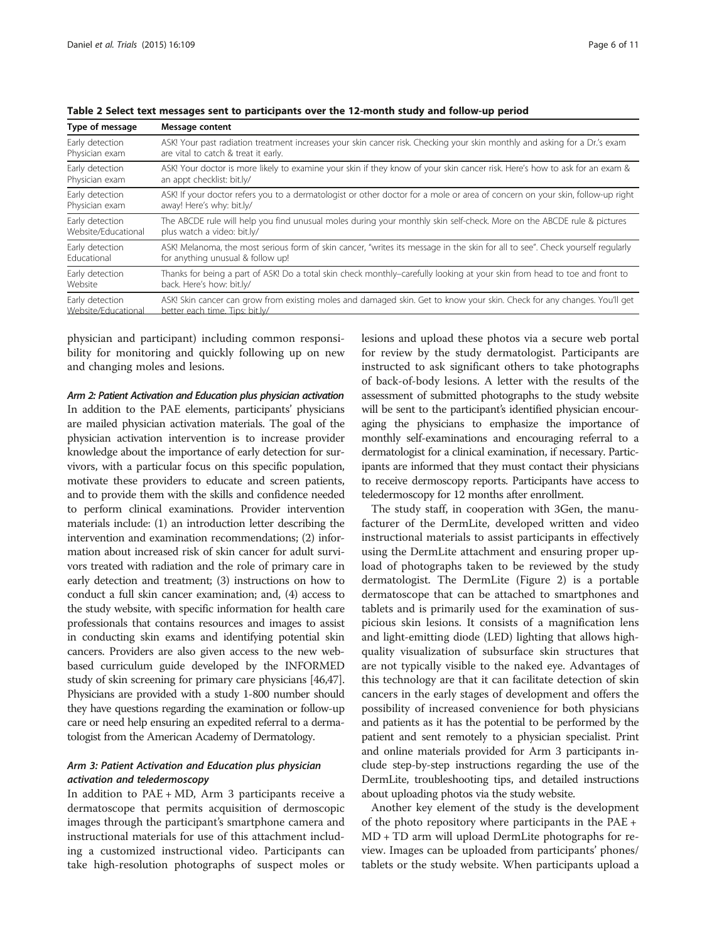| Type of message     | Message content                                                                                                                |  |  |
|---------------------|--------------------------------------------------------------------------------------------------------------------------------|--|--|
| Early detection     | ASK! Your past radiation treatment increases your skin cancer risk. Checking your skin monthly and asking for a Dr.'s exam     |  |  |
| Physician exam      | are vital to catch & treat it early.                                                                                           |  |  |
| Early detection     | ASK! Your doctor is more likely to examine your skin if they know of your skin cancer risk. Here's how to ask for an exam &    |  |  |
| Physician exam      | an appt checklist: bit.ly/                                                                                                     |  |  |
| Early detection     | ASK! If your doctor refers you to a dermatologist or other doctor for a mole or area of concern on your skin, follow-up right  |  |  |
| Physician exam      | away! Here's why: bit.ly/                                                                                                      |  |  |
| Early detection     | The ABCDE rule will help you find unusual moles during your monthly skin self-check. More on the ABCDE rule & pictures         |  |  |
| Website/Educational | plus watch a video: bit.ly/                                                                                                    |  |  |
| Early detection     | ASK! Melanoma, the most serious form of skin cancer, "writes its message in the skin for all to see". Check yourself regularly |  |  |
| Educational         | for anything unusual & follow up!                                                                                              |  |  |
| Early detection     | Thanks for being a part of ASK! Do a total skin check monthly-carefully looking at your skin from head to toe and front to     |  |  |
| Website             | back. Here's how: bit.ly/                                                                                                      |  |  |
| Early detection     | ASK! Skin cancer can grow from existing moles and damaged skin. Get to know your skin. Check for any changes, You'll get       |  |  |
| Website/Educational | better each time. Tips: bit.lv/                                                                                                |  |  |

<span id="page-5-0"></span>Table 2 Select text messages sent to participants over the 12-month study and follow-up period

physician and participant) including common responsibility for monitoring and quickly following up on new and changing moles and lesions.

Arm 2: Patient Activation and Education plus physician activation

In addition to the PAE elements, participants' physicians are mailed physician activation materials. The goal of the physician activation intervention is to increase provider knowledge about the importance of early detection for survivors, with a particular focus on this specific population, motivate these providers to educate and screen patients, and to provide them with the skills and confidence needed to perform clinical examinations. Provider intervention materials include: (1) an introduction letter describing the intervention and examination recommendations; (2) information about increased risk of skin cancer for adult survivors treated with radiation and the role of primary care in early detection and treatment; (3) instructions on how to conduct a full skin cancer examination; and, (4) access to the study website, with specific information for health care professionals that contains resources and images to assist in conducting skin exams and identifying potential skin cancers. Providers are also given access to the new webbased curriculum guide developed by the INFORMED study of skin screening for primary care physicians [\[46,47](#page-10-0)]. Physicians are provided with a study 1-800 number should they have questions regarding the examination or follow-up care or need help ensuring an expedited referral to a dermatologist from the American Academy of Dermatology.

## Arm 3: Patient Activation and Education plus physician activation and teledermoscopy

In addition to PAE + MD, Arm 3 participants receive a dermatoscope that permits acquisition of dermoscopic images through the participant's smartphone camera and instructional materials for use of this attachment including a customized instructional video. Participants can take high-resolution photographs of suspect moles or lesions and upload these photos via a secure web portal for review by the study dermatologist. Participants are instructed to ask significant others to take photographs of back-of-body lesions. A letter with the results of the assessment of submitted photographs to the study website will be sent to the participant's identified physician encouraging the physicians to emphasize the importance of monthly self-examinations and encouraging referral to a dermatologist for a clinical examination, if necessary. Participants are informed that they must contact their physicians to receive dermoscopy reports. Participants have access to teledermoscopy for 12 months after enrollment.

The study staff, in cooperation with 3Gen, the manufacturer of the DermLite, developed written and video instructional materials to assist participants in effectively using the DermLite attachment and ensuring proper upload of photographs taken to be reviewed by the study dermatologist. The DermLite (Figure [2](#page-6-0)) is a portable dermatoscope that can be attached to smartphones and tablets and is primarily used for the examination of suspicious skin lesions. It consists of a magnification lens and light-emitting diode (LED) lighting that allows highquality visualization of subsurface skin structures that are not typically visible to the naked eye. Advantages of this technology are that it can facilitate detection of skin cancers in the early stages of development and offers the possibility of increased convenience for both physicians and patients as it has the potential to be performed by the patient and sent remotely to a physician specialist. Print and online materials provided for Arm 3 participants include step-by-step instructions regarding the use of the DermLite, troubleshooting tips, and detailed instructions about uploading photos via the study website.

Another key element of the study is the development of the photo repository where participants in the PAE + MD + TD arm will upload DermLite photographs for review. Images can be uploaded from participants' phones/ tablets or the study website. When participants upload a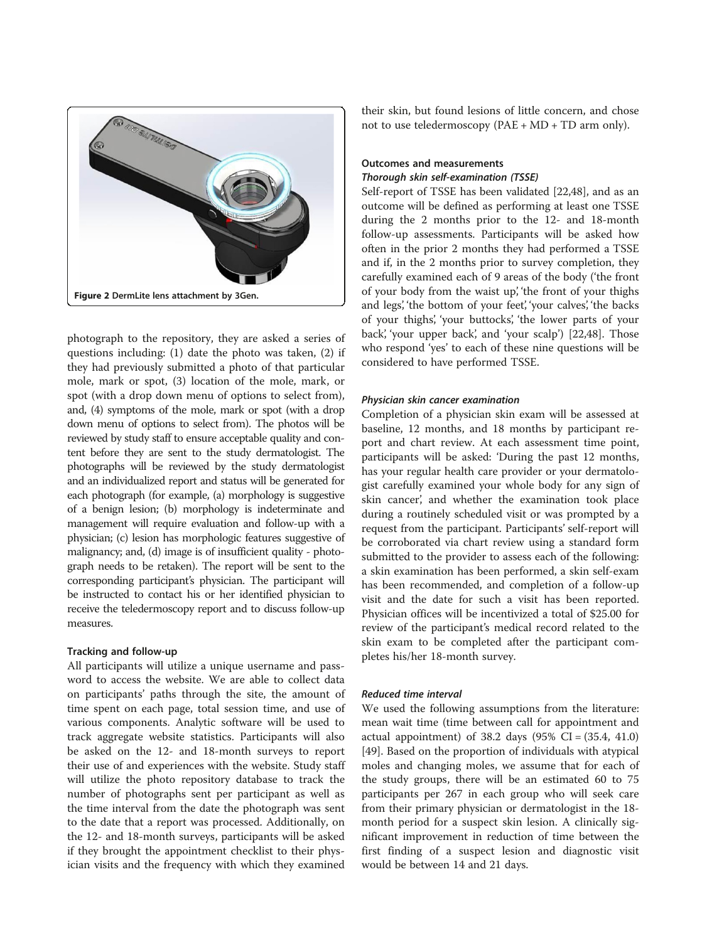<span id="page-6-0"></span>

photograph to the repository, they are asked a series of questions including: (1) date the photo was taken, (2) if they had previously submitted a photo of that particular mole, mark or spot, (3) location of the mole, mark, or spot (with a drop down menu of options to select from), and, (4) symptoms of the mole, mark or spot (with a drop down menu of options to select from). The photos will be reviewed by study staff to ensure acceptable quality and content before they are sent to the study dermatologist. The photographs will be reviewed by the study dermatologist and an individualized report and status will be generated for each photograph (for example, (a) morphology is suggestive of a benign lesion; (b) morphology is indeterminate and management will require evaluation and follow-up with a physician; (c) lesion has morphologic features suggestive of malignancy; and, (d) image is of insufficient quality - photograph needs to be retaken). The report will be sent to the corresponding participant's physician. The participant will be instructed to contact his or her identified physician to receive the teledermoscopy report and to discuss follow-up measures.

## Tracking and follow-up

All participants will utilize a unique username and password to access the website. We are able to collect data on participants' paths through the site, the amount of time spent on each page, total session time, and use of various components. Analytic software will be used to track aggregate website statistics. Participants will also be asked on the 12- and 18-month surveys to report their use of and experiences with the website. Study staff will utilize the photo repository database to track the number of photographs sent per participant as well as the time interval from the date the photograph was sent to the date that a report was processed. Additionally, on the 12- and 18-month surveys, participants will be asked if they brought the appointment checklist to their physician visits and the frequency with which they examined

their skin, but found lesions of little concern, and chose not to use teledermoscopy (PAE + MD + TD arm only).

## Outcomes and measurements Thorough skin self-examination (TSSE)

Self-report of TSSE has been validated [\[22](#page-9-0)[,48\]](#page-10-0), and as an outcome will be defined as performing at least one TSSE during the 2 months prior to the 12- and 18-month follow-up assessments. Participants will be asked how often in the prior 2 months they had performed a TSSE and if, in the 2 months prior to survey completion, they carefully examined each of 9 areas of the body ('the front of your body from the waist up', 'the front of your thighs and legs', 'the bottom of your feet', 'your calves', 'the backs of your thighs', 'your buttocks', 'the lower parts of your back', 'your upper back', and 'your scalp') [\[22](#page-9-0)[,48](#page-10-0)]. Those who respond 'yes' to each of these nine questions will be considered to have performed TSSE.

#### Physician skin cancer examination

Completion of a physician skin exam will be assessed at baseline, 12 months, and 18 months by participant report and chart review. At each assessment time point, participants will be asked: 'During the past 12 months, has your regular health care provider or your dermatologist carefully examined your whole body for any sign of skin cancer', and whether the examination took place during a routinely scheduled visit or was prompted by a request from the participant. Participants' self-report will be corroborated via chart review using a standard form submitted to the provider to assess each of the following: a skin examination has been performed, a skin self-exam has been recommended, and completion of a follow-up visit and the date for such a visit has been reported. Physician offices will be incentivized a total of \$25.00 for review of the participant's medical record related to the skin exam to be completed after the participant completes his/her 18-month survey.

## Reduced time interval

We used the following assumptions from the literature: mean wait time (time between call for appointment and actual appointment) of 38.2 days  $(95\% \text{ CI} = (35.4, 41.0))$ [[49\]](#page-10-0). Based on the proportion of individuals with atypical moles and changing moles, we assume that for each of the study groups, there will be an estimated 60 to 75 participants per 267 in each group who will seek care from their primary physician or dermatologist in the 18 month period for a suspect skin lesion. A clinically significant improvement in reduction of time between the first finding of a suspect lesion and diagnostic visit would be between 14 and 21 days.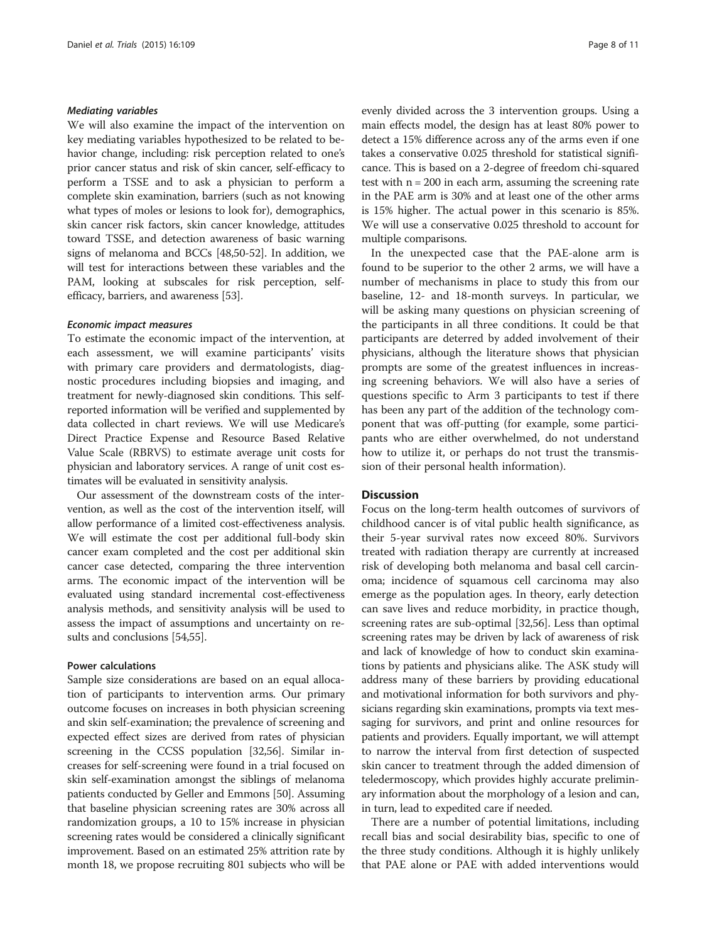#### Mediating variables

We will also examine the impact of the intervention on key mediating variables hypothesized to be related to behavior change, including: risk perception related to one's prior cancer status and risk of skin cancer, self-efficacy to perform a TSSE and to ask a physician to perform a complete skin examination, barriers (such as not knowing what types of moles or lesions to look for), demographics, skin cancer risk factors, skin cancer knowledge, attitudes toward TSSE, and detection awareness of basic warning signs of melanoma and BCCs [\[48,50-52\]](#page-10-0). In addition, we will test for interactions between these variables and the PAM, looking at subscales for risk perception, selfefficacy, barriers, and awareness [[53\]](#page-10-0).

#### Economic impact measures

To estimate the economic impact of the intervention, at each assessment, we will examine participants' visits with primary care providers and dermatologists, diagnostic procedures including biopsies and imaging, and treatment for newly-diagnosed skin conditions. This selfreported information will be verified and supplemented by data collected in chart reviews. We will use Medicare's Direct Practice Expense and Resource Based Relative Value Scale (RBRVS) to estimate average unit costs for physician and laboratory services. A range of unit cost estimates will be evaluated in sensitivity analysis.

Our assessment of the downstream costs of the intervention, as well as the cost of the intervention itself, will allow performance of a limited cost-effectiveness analysis. We will estimate the cost per additional full-body skin cancer exam completed and the cost per additional skin cancer case detected, comparing the three intervention arms. The economic impact of the intervention will be evaluated using standard incremental cost-effectiveness analysis methods, and sensitivity analysis will be used to assess the impact of assumptions and uncertainty on results and conclusions [[54,55\]](#page-10-0).

## Power calculations

Sample size considerations are based on an equal allocation of participants to intervention arms. Our primary outcome focuses on increases in both physician screening and skin self-examination; the prevalence of screening and expected effect sizes are derived from rates of physician screening in the CCSS population [[32,56](#page-10-0)]. Similar increases for self-screening were found in a trial focused on skin self-examination amongst the siblings of melanoma patients conducted by Geller and Emmons [\[50\]](#page-10-0). Assuming that baseline physician screening rates are 30% across all randomization groups, a 10 to 15% increase in physician screening rates would be considered a clinically significant improvement. Based on an estimated 25% attrition rate by month 18, we propose recruiting 801 subjects who will be evenly divided across the 3 intervention groups. Using a main effects model, the design has at least 80% power to detect a 15% difference across any of the arms even if one takes a conservative 0.025 threshold for statistical significance. This is based on a 2-degree of freedom chi-squared test with  $n = 200$  in each arm, assuming the screening rate in the PAE arm is 30% and at least one of the other arms is 15% higher. The actual power in this scenario is 85%. We will use a conservative 0.025 threshold to account for multiple comparisons.

In the unexpected case that the PAE-alone arm is found to be superior to the other 2 arms, we will have a number of mechanisms in place to study this from our baseline, 12- and 18-month surveys. In particular, we will be asking many questions on physician screening of the participants in all three conditions. It could be that participants are deterred by added involvement of their physicians, although the literature shows that physician prompts are some of the greatest influences in increasing screening behaviors. We will also have a series of questions specific to Arm 3 participants to test if there has been any part of the addition of the technology component that was off-putting (for example, some participants who are either overwhelmed, do not understand how to utilize it, or perhaps do not trust the transmission of their personal health information).

#### **Discussion**

Focus on the long-term health outcomes of survivors of childhood cancer is of vital public health significance, as their 5-year survival rates now exceed 80%. Survivors treated with radiation therapy are currently at increased risk of developing both melanoma and basal cell carcinoma; incidence of squamous cell carcinoma may also emerge as the population ages. In theory, early detection can save lives and reduce morbidity, in practice though, screening rates are sub-optimal [\[32,56\]](#page-10-0). Less than optimal screening rates may be driven by lack of awareness of risk and lack of knowledge of how to conduct skin examinations by patients and physicians alike. The ASK study will address many of these barriers by providing educational and motivational information for both survivors and physicians regarding skin examinations, prompts via text messaging for survivors, and print and online resources for patients and providers. Equally important, we will attempt to narrow the interval from first detection of suspected skin cancer to treatment through the added dimension of teledermoscopy, which provides highly accurate preliminary information about the morphology of a lesion and can, in turn, lead to expedited care if needed.

There are a number of potential limitations, including recall bias and social desirability bias, specific to one of the three study conditions. Although it is highly unlikely that PAE alone or PAE with added interventions would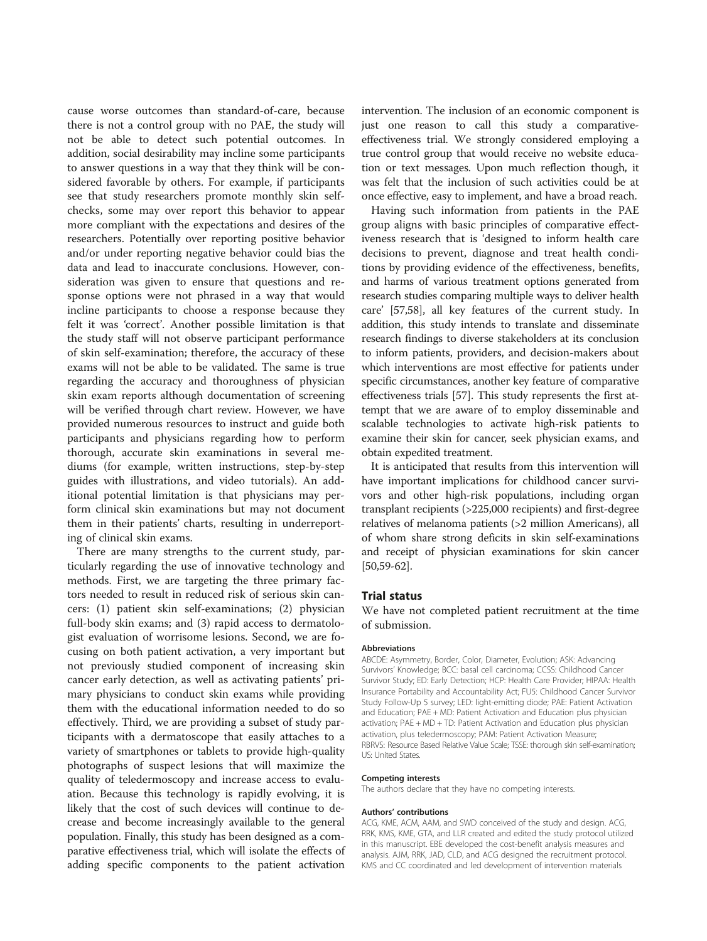cause worse outcomes than standard-of-care, because there is not a control group with no PAE, the study will not be able to detect such potential outcomes. In addition, social desirability may incline some participants to answer questions in a way that they think will be considered favorable by others. For example, if participants see that study researchers promote monthly skin selfchecks, some may over report this behavior to appear more compliant with the expectations and desires of the researchers. Potentially over reporting positive behavior and/or under reporting negative behavior could bias the data and lead to inaccurate conclusions. However, consideration was given to ensure that questions and response options were not phrased in a way that would incline participants to choose a response because they felt it was 'correct'. Another possible limitation is that the study staff will not observe participant performance of skin self-examination; therefore, the accuracy of these exams will not be able to be validated. The same is true regarding the accuracy and thoroughness of physician skin exam reports although documentation of screening will be verified through chart review. However, we have provided numerous resources to instruct and guide both participants and physicians regarding how to perform thorough, accurate skin examinations in several mediums (for example, written instructions, step-by-step guides with illustrations, and video tutorials). An additional potential limitation is that physicians may perform clinical skin examinations but may not document them in their patients' charts, resulting in underreporting of clinical skin exams.

There are many strengths to the current study, particularly regarding the use of innovative technology and methods. First, we are targeting the three primary factors needed to result in reduced risk of serious skin cancers: (1) patient skin self-examinations; (2) physician full-body skin exams; and (3) rapid access to dermatologist evaluation of worrisome lesions. Second, we are focusing on both patient activation, a very important but not previously studied component of increasing skin cancer early detection, as well as activating patients' primary physicians to conduct skin exams while providing them with the educational information needed to do so effectively. Third, we are providing a subset of study participants with a dermatoscope that easily attaches to a variety of smartphones or tablets to provide high-quality photographs of suspect lesions that will maximize the quality of teledermoscopy and increase access to evaluation. Because this technology is rapidly evolving, it is likely that the cost of such devices will continue to decrease and become increasingly available to the general population. Finally, this study has been designed as a comparative effectiveness trial, which will isolate the effects of adding specific components to the patient activation

intervention. The inclusion of an economic component is just one reason to call this study a comparativeeffectiveness trial. We strongly considered employing a true control group that would receive no website education or text messages. Upon much reflection though, it was felt that the inclusion of such activities could be at once effective, easy to implement, and have a broad reach.

Having such information from patients in the PAE group aligns with basic principles of comparative effectiveness research that is 'designed to inform health care decisions to prevent, diagnose and treat health conditions by providing evidence of the effectiveness, benefits, and harms of various treatment options generated from research studies comparing multiple ways to deliver health care' [[57,58](#page-10-0)], all key features of the current study. In addition, this study intends to translate and disseminate research findings to diverse stakeholders at its conclusion to inform patients, providers, and decision-makers about which interventions are most effective for patients under specific circumstances, another key feature of comparative effectiveness trials [\[57\]](#page-10-0). This study represents the first attempt that we are aware of to employ disseminable and scalable technologies to activate high-risk patients to examine their skin for cancer, seek physician exams, and obtain expedited treatment.

It is anticipated that results from this intervention will have important implications for childhood cancer survivors and other high-risk populations, including organ transplant recipients (>225,000 recipients) and first-degree relatives of melanoma patients (>2 million Americans), all of whom share strong deficits in skin self-examinations and receipt of physician examinations for skin cancer [[50](#page-10-0),[59](#page-10-0)-[62](#page-10-0)].

## Trial status

We have not completed patient recruitment at the time of submission.

#### Abbreviations

ABCDE: Asymmetry, Border, Color, Diameter, Evolution; ASK: Advancing Survivors' Knowledge; BCC: basal cell carcinoma; CCSS: Childhood Cancer Survivor Study; ED: Early Detection; HCP: Health Care Provider; HIPAA: Health Insurance Portability and Accountability Act; FU5: Childhood Cancer Survivor Study Follow-Up 5 survey; LED: light-emitting diode; PAE: Patient Activation and Education; PAE + MD: Patient Activation and Education plus physician activation; PAE + MD + TD: Patient Activation and Education plus physician activation, plus teledermoscopy; PAM: Patient Activation Measure; RBRVS: Resource Based Relative Value Scale; TSSE: thorough skin self-examination; US: United States.

#### Competing interests

The authors declare that they have no competing interests.

#### Authors' contributions

ACG, KME, ACM, AAM, and SWD conceived of the study and design. ACG, RRK, KMS, KME, GTA, and LLR created and edited the study protocol utilized in this manuscript. EBE developed the cost-benefit analysis measures and analysis. AJM, RRK, JAD, CLD, and ACG designed the recruitment protocol. KMS and CC coordinated and led development of intervention materials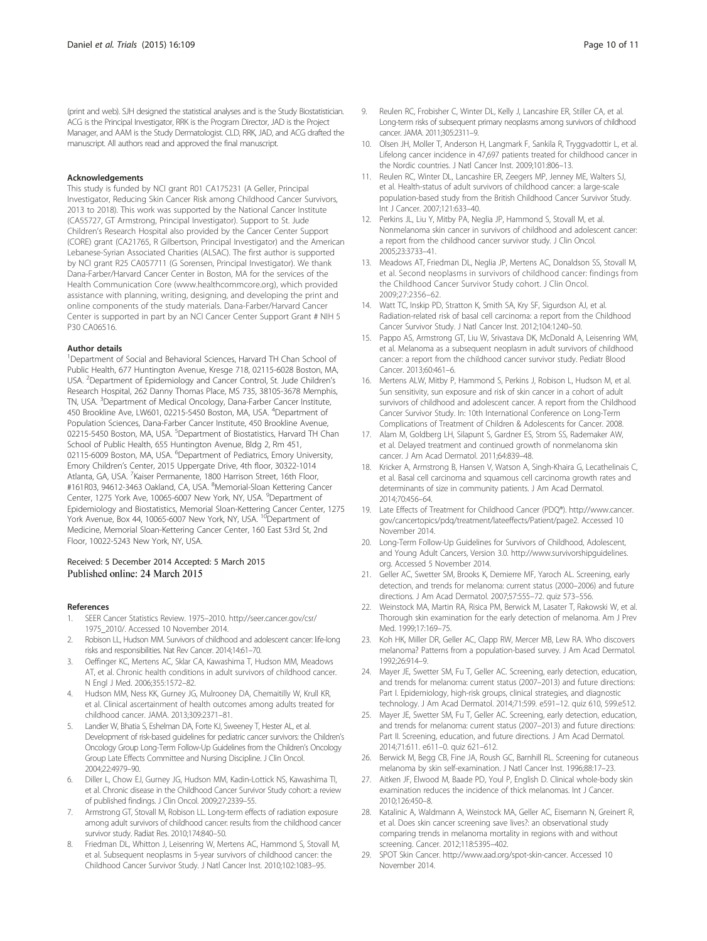<span id="page-9-0"></span>(print and web). SJH designed the statistical analyses and is the Study Biostatistician. ACG is the Principal Investigator, RRK is the Program Director, JAD is the Project Manager, and AAM is the Study Dermatologist. CLD, RRK, JAD, and ACG drafted the manuscript. All authors read and approved the final manuscript.

#### Acknowledgements

This study is funded by NCI grant R01 CA175231 (A Geller, Principal Investigator, Reducing Skin Cancer Risk among Childhood Cancer Survivors, 2013 to 2018). This work was supported by the National Cancer Institute (CA55727, GT Armstrong, Principal Investigator). Support to St. Jude Children's Research Hospital also provided by the Cancer Center Support (CORE) grant (CA21765, R Gilbertson, Principal Investigator) and the American Lebanese-Syrian Associated Charities (ALSAC). The first author is supported by NCI grant R25 CA057711 (G Sorensen, Principal Investigator). We thank Dana-Farber/Harvard Cancer Center in Boston, MA for the services of the Health Communication Core ([www.healthcommcore.org\)](http://www.healthcommcore.org), which provided assistance with planning, writing, designing, and developing the print and online components of the study materials. Dana-Farber/Harvard Cancer Center is supported in part by an NCI Cancer Center Support Grant # NIH 5 P30 CA06516.

#### Author details

<sup>1</sup>Department of Social and Behavioral Sciences, Harvard TH Chan School of Public Health, 677 Huntington Avenue, Kresge 718, 02115-6028 Boston, MA, USA. <sup>2</sup>Department of Epidemiology and Cancer Control, St. Jude Children's Research Hospital, 262 Danny Thomas Place, MS 735, 38105-3678 Memphis, TN, USA. <sup>3</sup>Department of Medical Oncology, Dana-Farber Cancer Institute, 450 Brookline Ave, LW601, 02215-5450 Boston, MA, USA. <sup>4</sup>Department of Population Sciences, Dana-Farber Cancer Institute, 450 Brookline Avenue, 02215-5450 Boston, MA, USA. <sup>5</sup>Department of Biostatistics, Harvard TH Chan School of Public Health, 655 Huntington Avenue, Bldg 2, Rm 451, 02115-6009 Boston, MA, USA. <sup>6</sup>Department of Pediatrics, Emory University, Emory Children's Center, 2015 Uppergate Drive, 4th floor, 30322-1014 Atlanta, GA, USA. <sup>7</sup>Kaiser Permanente, 1800 Harrison Street, 16th Floor, #161R03, 94612-3463 Oakland, CA, USA. <sup>8</sup>Memorial-Sloan Kettering Cancer Center, 1275 York Ave, 10065-6007 New York, NY, USA. <sup>9</sup>Department of Epidemiology and Biostatistics, Memorial Sloan-Kettering Cancer Center, 1275 York Avenue, Box 44, 10065-6007 New York, NY, USA. 10Department of Medicine, Memorial Sloan-Kettering Cancer Center, 160 East 53rd St, 2nd Floor, 10022-5243 New York, NY, USA.

#### Received: 5 December 2014 Accepted: 5 March 2015 Published online: 24 March 2015

#### References

- 1. SEER Cancer Statistics Review. 1975–2010. [http://seer.cancer.gov/csr/](http://seer.cancer.gov/csr/1975_2010/) [1975\\_2010/](http://seer.cancer.gov/csr/1975_2010/). Accessed 10 November 2014.
- 2. Robison LL, Hudson MM. Survivors of childhood and adolescent cancer: life-long risks and responsibilities. Nat Rev Cancer. 2014;14:61–70.
- 3. Oeffinger KC, Mertens AC, Sklar CA, Kawashima T, Hudson MM, Meadows AT, et al. Chronic health conditions in adult survivors of childhood cancer. N Engl J Med. 2006;355:1572–82.
- 4. Hudson MM, Ness KK, Gurney JG, Mulrooney DA, Chemaitilly W, Krull KR, et al. Clinical ascertainment of health outcomes among adults treated for childhood cancer. JAMA. 2013;309:2371–81.
- Landier W, Bhatia S, Eshelman DA, Forte KJ, Sweeney T, Hester AL, et al. Development of risk-based guidelines for pediatric cancer survivors: the Children's Oncology Group Long-Term Follow-Up Guidelines from the Children's Oncology Group Late Effects Committee and Nursing Discipline. J Clin Oncol. 2004;22:4979–90.
- 6. Diller L, Chow EJ, Gurney JG, Hudson MM, Kadin-Lottick NS, Kawashima TI, et al. Chronic disease in the Childhood Cancer Survivor Study cohort: a review of published findings. J Clin Oncol. 2009;27:2339–55.
- 7. Armstrong GT, Stovall M, Robison LL. Long-term effects of radiation exposure among adult survivors of childhood cancer: results from the childhood cancer survivor study. Radiat Res. 2010;174:840–50.
- 8. Friedman DL, Whitton J, Leisenring W, Mertens AC, Hammond S, Stovall M, et al. Subsequent neoplasms in 5-year survivors of childhood cancer: the Childhood Cancer Survivor Study. J Natl Cancer Inst. 2010;102:1083–95.
- Reulen RC, Frobisher C, Winter DL, Kelly J, Lancashire ER, Stiller CA, et al. Long-term risks of subsequent primary neoplasms among survivors of childhood cancer. JAMA. 2011;305:2311–9.
- 10. Olsen JH, Moller T, Anderson H, Langmark F, Sankila R, Tryggvadottir L, et al. Lifelong cancer incidence in 47,697 patients treated for childhood cancer in the Nordic countries. J Natl Cancer Inst. 2009;101:806–13.
- 11. Reulen RC, Winter DL, Lancashire ER, Zeegers MP, Jenney ME, Walters SJ, et al. Health-status of adult survivors of childhood cancer: a large-scale population-based study from the British Childhood Cancer Survivor Study. Int J Cancer. 2007;121:633–40.
- 12. Perkins JL, Liu Y, Mitby PA, Neglia JP, Hammond S, Stovall M, et al. Nonmelanoma skin cancer in survivors of childhood and adolescent cancer: a report from the childhood cancer survivor study. J Clin Oncol. 2005;23:3733–41.
- 13. Meadows AT, Friedman DL, Neglia JP, Mertens AC, Donaldson SS, Stovall M, et al. Second neoplasms in survivors of childhood cancer: findings from the Childhood Cancer Survivor Study cohort. J Clin Oncol. 2009;27:2356–62.
- 14. Watt TC, Inskip PD, Stratton K, Smith SA, Kry SF, Sigurdson AJ, et al. Radiation-related risk of basal cell carcinoma: a report from the Childhood Cancer Survivor Study. J Natl Cancer Inst. 2012;104:1240–50.
- 15. Pappo AS, Armstrong GT, Liu W, Srivastava DK, McDonald A, Leisenring WM, et al. Melanoma as a subsequent neoplasm in adult survivors of childhood cancer: a report from the childhood cancer survivor study. Pediatr Blood Cancer. 2013;60:461–6.
- 16. Mertens ALW, Mitby P, Hammond S, Perkins J, Robison L, Hudson M, et al. Sun sensitivity, sun exposure and risk of skin cancer in a cohort of adult survivors of childhood and adolescent cancer. A report from the Childhood Cancer Survivor Study. In: 10th International Conference on Long-Term Complications of Treatment of Children & Adolescents for Cancer. 2008.
- 17. Alam M, Goldberg LH, Silapunt S, Gardner ES, Strom SS, Rademaker AW, et al. Delayed treatment and continued growth of nonmelanoma skin cancer. J Am Acad Dermatol. 2011;64:839–48.
- 18. Kricker A, Armstrong B, Hansen V, Watson A, Singh-Khaira G, Lecathelinais C, et al. Basal cell carcinoma and squamous cell carcinoma growth rates and determinants of size in community patients. J Am Acad Dermatol. 2014;70:456–64.
- 19. Late Effects of Treatment for Childhood Cancer (PDQ®). [http://www.cancer.](http://www.cancer.gov/cancertopics/pdq/treatment/lateeffects/Patient/page2) [gov/cancertopics/pdq/treatment/lateeffects/Patient/page2.](http://www.cancer.gov/cancertopics/pdq/treatment/lateeffects/Patient/page2) Accessed 10 November 2014.
- 20. Long-Term Follow-Up Guidelines for Survivors of Childhood, Adolescent, and Young Adult Cancers, Version 3.0. [http://www.survivorshipguidelines.](http://www.survivorshipguidelines.org) [org](http://www.survivorshipguidelines.org). Accessed 5 November 2014.
- 21. Geller AC, Swetter SM, Brooks K, Demierre MF, Yaroch AL. Screening, early detection, and trends for melanoma: current status (2000–2006) and future directions. J Am Acad Dermatol. 2007;57:555–72. quiz 573–556.
- 22. Weinstock MA, Martin RA, Risica PM, Berwick M, Lasater T, Rakowski W, et al. Thorough skin examination for the early detection of melanoma. Am J Prev Med. 1999;17:169–75.
- 23. Koh HK, Miller DR, Geller AC, Clapp RW, Mercer MB, Lew RA. Who discovers melanoma? Patterns from a population-based survey. J Am Acad Dermatol. 1992;26:914–9.
- 24. Mayer JE, Swetter SM, Fu T, Geller AC. Screening, early detection, education, and trends for melanoma: current status (2007–2013) and future directions: Part I. Epidemiology, high-risk groups, clinical strategies, and diagnostic technology. J Am Acad Dermatol. 2014;71:599. e591–12. quiz 610, 599.e512.
- 25. Mayer JE, Swetter SM, Fu T, Geller AC. Screening, early detection, education, and trends for melanoma: current status (2007–2013) and future directions: Part II. Screening, education, and future directions. J Am Acad Dermatol. 2014;71:611. e611–0. quiz 621–612.
- 26. Berwick M, Begg CB, Fine JA, Roush GC, Barnhill RL. Screening for cutaneous melanoma by skin self-examination. J Natl Cancer Inst. 1996;88:17–23.
- 27. Aitken JF, Elwood M, Baade PD, Youl P, English D. Clinical whole-body skin examination reduces the incidence of thick melanomas. Int J Cancer. 2010;126:450–8.
- 28. Katalinic A, Waldmann A, Weinstock MA, Geller AC, Eisemann N, Greinert R, et al. Does skin cancer screening save lives?: an observational study comparing trends in melanoma mortality in regions with and without screening. Cancer. 2012;118:5395–402.
- 29. SPOT Skin Cancer.<http://www.aad.org/spot-skin-cancer>. Accessed 10 November 2014.